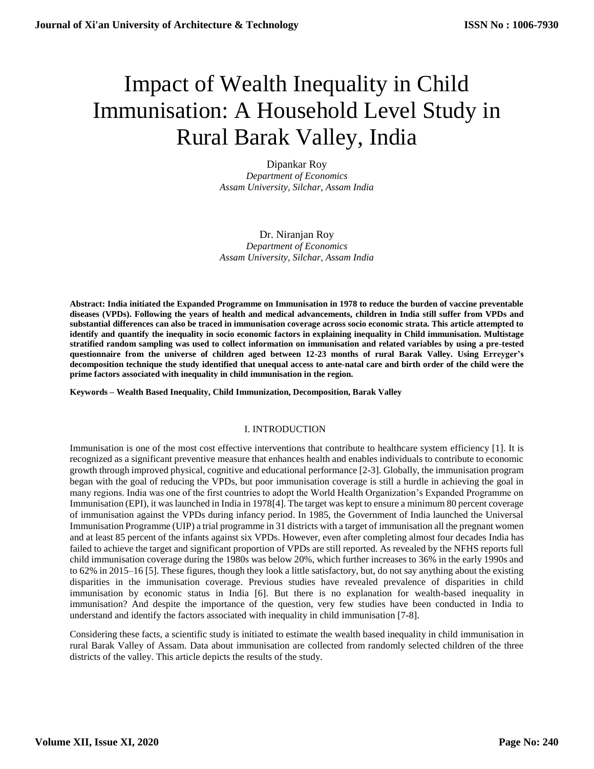# Impact of Wealth Inequality in Child Immunisation: A Household Level Study in Rural Barak Valley, India

Dipankar Roy *Department of Economics Assam University, Silchar, Assam India*

Dr. Niranjan Roy *Department of Economics Assam University, Silchar, Assam India*

**Abstract: India initiated the Expanded Programme on Immunisation in 1978 to reduce the burden of vaccine preventable diseases (VPDs). Following the years of health and medical advancements, children in India still suffer from VPDs and substantial differences can also be traced in immunisation coverage across socio economic strata. This article attempted to identify and quantify the inequality in socio economic factors in explaining inequality in Child immunisation. Multistage stratified random sampling was used to collect information on immunisation and related variables by using a pre-tested questionnaire from the universe of children aged between 12-23 months of rural Barak Valley. Using Erreyger's decomposition technique the study identified that unequal access to ante-natal care and birth order of the child were the prime factors associated with inequality in child immunisation in the region.** 

**Keywords – Wealth Based Inequality, Child Immunization, Decomposition, Barak Valley**

# I. INTRODUCTION

Immunisation is one of the most cost effective interventions that contribute to healthcare system efficiency [1]. It is recognized as a significant preventive measure that enhances health and enables individuals to contribute to economic growth through improved physical, cognitive and educational performance [2-3]. Globally, the immunisation program began with the goal of reducing the VPDs, but poor immunisation coverage is still a hurdle in achieving the goal in many regions. India was one of the first countries to adopt the World Health Organization's Expanded Programme on Immunisation (EPI), it was launched in India in 1978[4]. The target was kept to ensure a minimum 80 percent coverage of immunisation against the VPDs during infancy period. In 1985, the Government of India launched the Universal Immunisation Programme (UIP) a trial programme in 31 districts with a target of immunisation all the pregnant women and at least 85 percent of the infants against six VPDs. However, even after completing almost four decades India has failed to achieve the target and significant proportion of VPDs are still reported. As revealed by the NFHS reports full child immunisation coverage during the 1980s was below 20%, which further increases to 36% in the early 1990s and to 62% in 2015–16 [5]. These figures, though they look a little satisfactory, but, do not say anything about the existing disparities in the immunisation coverage. Previous studies have revealed prevalence of disparities in child immunisation by economic status in India [6]. But there is no explanation for wealth-based inequality in immunisation? And despite the importance of the question, very few studies have been conducted in India to understand and identify the factors associated with inequality in child immunisation [7-8].

Considering these facts, a scientific study is initiated to estimate the wealth based inequality in child immunisation in rural Barak Valley of Assam. Data about immunisation are collected from randomly selected children of the three districts of the valley. This article depicts the results of the study.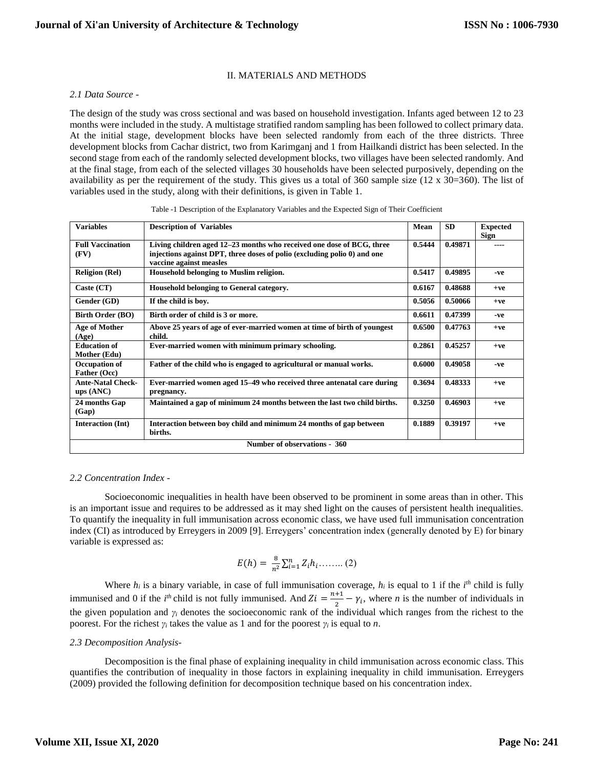# II. MATERIALS AND METHODS

## *2.1 Data Source -*

The design of the study was cross sectional and was based on household investigation. Infants aged between 12 to 23 months were included in the study. A multistage stratified random sampling has been followed to collect primary data. At the initial stage, development blocks have been selected randomly from each of the three districts. Three development blocks from Cachar district, two from Karimganj and 1 from Hailkandi district has been selected. In the second stage from each of the randomly selected development blocks, two villages have been selected randomly. And at the final stage, from each of the selected villages 30 households have been selected purposively, depending on the availability as per the requirement of the study. This gives us a total of  $360$  sample size (12 x  $30=360$ ). The list of variables used in the study, along with their definitions, is given in Table 1.

| <b>Variables</b>                     | <b>Description of Variables</b>                                                                                                                                              | Mean   | <b>SD</b> | <b>Expected</b><br><b>Sign</b> |  |  |
|--------------------------------------|------------------------------------------------------------------------------------------------------------------------------------------------------------------------------|--------|-----------|--------------------------------|--|--|
| <b>Full Vaccination</b><br>(FV)      | Living children aged 12–23 months who received one dose of BCG, three<br>injections against DPT, three doses of polio (excluding polio 0) and one<br>vaccine against measles | 0.5444 | 0.49871   |                                |  |  |
| <b>Religion (Rel)</b>                | Household belonging to Muslim religion.                                                                                                                                      | 0.5417 | 0.49895   | -ve                            |  |  |
| Caste $(CT)$                         | Household belonging to General category.                                                                                                                                     | 0.6167 | 0.48688   | $+ve$                          |  |  |
| Gender (GD)                          | If the child is boy.                                                                                                                                                         | 0.5056 | 0.50066   | $+ve$                          |  |  |
| <b>Birth Order (BO)</b>              | Birth order of child is 3 or more.                                                                                                                                           | 0.6611 | 0.47399   | -ve                            |  |  |
| <b>Age of Mother</b><br>(Age)        | Above 25 years of age of ever-married women at time of birth of youngest<br>child.                                                                                           | 0.6500 | 0.47763   | $+ve$                          |  |  |
| <b>Education of</b><br>Mother (Edu)  | Ever-married women with minimum primary schooling.                                                                                                                           | 0.2861 | 0.45257   | $+ve$                          |  |  |
| Occupation of<br>Father (Occ)        | Father of the child who is engaged to agricultural or manual works.                                                                                                          | 0.6000 | 0.49058   | -ve                            |  |  |
| <b>Ante-Natal Check-</b><br>ups(ANC) | Ever-married women aged 15–49 who received three antenatal care during<br>pregnancy.                                                                                         | 0.3694 | 0.48333   | $+ve$                          |  |  |
| 24 months Gap<br>(Gap)               | Maintained a gap of minimum 24 months between the last two child births.                                                                                                     | 0.3250 | 0.46903   | $+ve$                          |  |  |
| <b>Interaction (Int)</b>             | Interaction between boy child and minimum 24 months of gap between<br>births.                                                                                                | 0.1889 | 0.39197   | $+ve$                          |  |  |
| Number of observations - 360         |                                                                                                                                                                              |        |           |                                |  |  |

# *2.2 Concentration Index -*

Socioeconomic inequalities in health have been observed to be prominent in some areas than in other. This is an important issue and requires to be addressed as it may shed light on the causes of persistent health inequalities. To quantify the inequality in full immunisation across economic class, we have used full immunisation concentration index (CI) as introduced by Erreygers in 2009 [9]. Erreygers' concentration index (generally denoted by E) for binary variable is expressed as:

$$
E(h) = \frac{8}{n^2} \sum_{i=1}^{n} Z_i h_i \dots \dots \dots (2)
$$

Where  $h_i$  is a binary variable, in case of full immunisation coverage,  $h_i$  is equal to 1 if the  $i<sup>th</sup>$  child is fully immunised and 0 if the *i*<sup>th</sup> child is not fully immunised. And  $Zi = \frac{n+1}{2}$  $\frac{1}{2} - \gamma_i$ , where *n* is the number of individuals in the given population and  $\gamma$ <sup>*i*</sup> denotes the socioeconomic rank of the individual which ranges from the richest to the poorest. For the richest *γ<sup>i</sup>* takes the value as 1 and for the poorest *γ<sup>i</sup>* is equal to *n*.

## *2.3 Decomposition Analysis-*

Decomposition is the final phase of explaining inequality in child immunisation across economic class. This quantifies the contribution of inequality in those factors in explaining inequality in child immunisation. Erreygers (2009) provided the following definition for decomposition technique based on his concentration index.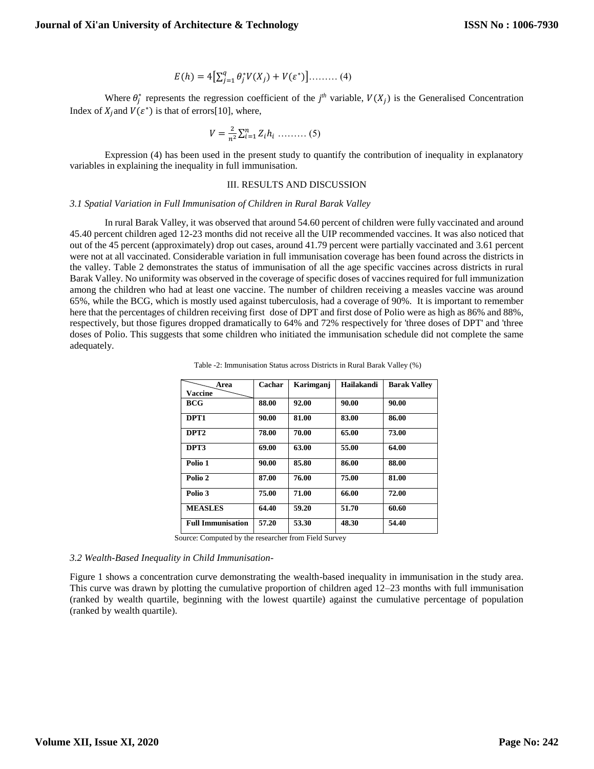$$
E(h) = 4\Big[\sum_{j=1}^{q} \theta_{j}^{*} V(X_{j}) + V(\varepsilon^{*})\Big] \dots \dots \dots (4)
$$

Where  $\theta_j^*$  represents the regression coefficient of the  $j^{th}$  variable,  $V(X_j)$  is the Generalised Concentration Index of  $X_j$  and  $V(\varepsilon^*)$  is that of errors[10], where,

$$
V = \frac{2}{n^2} \sum_{i=1}^{n} Z_i h_i \dots \dots \dots (5)
$$

Expression (4) has been used in the present study to quantify the contribution of inequality in explanatory variables in explaining the inequality in full immunisation.

#### III. RESULTS AND DISCUSSION

#### *3.1 Spatial Variation in Full Immunisation of Children in Rural Barak Valley*

In rural Barak Valley, it was observed that around 54.60 percent of children were fully vaccinated and around 45.40 percent children aged 12-23 months did not receive all the UIP recommended vaccines. It was also noticed that out of the 45 percent (approximately) drop out cases, around 41.79 percent were partially vaccinated and 3.61 percent were not at all vaccinated. Considerable variation in full immunisation coverage has been found across the districts in the valley. Table 2 demonstrates the status of immunisation of all the age specific vaccines across districts in rural Barak Valley. No uniformity was observed in the coverage of specific doses of vaccines required for full immunization among the children who had at least one vaccine. The number of children receiving a measles vaccine was around 65%, while the BCG, which is mostly used against tuberculosis, had a coverage of 90%. It is important to remember here that the percentages of children receiving first dose of DPT and first dose of Polio were as high as 86% and 88%, respectively, but those figures dropped dramatically to 64% and 72% respectively for 'three doses of DPT' and 'three doses of Polio. This suggests that some children who initiated the immunisation schedule did not complete the same adequately.

| Area                     | Cachar | Karimganj | Hailakandi | <b>Barak Valley</b> |
|--------------------------|--------|-----------|------------|---------------------|
| <b>Vaccine</b>           |        |           |            |                     |
| <b>BCG</b>               | 88.00  | 92.00     | 90.00      | 90.00               |
| DPT1                     | 90.00  | 81.00     | 83.00      | 86.00               |
| DPT <sub>2</sub>         | 78.00  | 70.00     | 65.00      | 73.00               |
| DPT3                     | 69.00  | 63.00     | 55.00      | 64.00               |
| Polio 1                  | 90.00  | 85.80     | 86.00      | 88.00               |
| Polio 2                  | 87.00  | 76.00     | 75.00      | 81.00               |
| Polio 3                  | 75.00  | 71.00     | 66.00      | 72.00               |
| <b>MEASLES</b>           | 64.40  | 59.20     | 51.70      | 60.60               |
| <b>Full Immunisation</b> | 57.20  | 53.30     | 48.30      | 54.40               |

Table -2: Immunisation Status across Districts in Rural Barak Valley (%)

Source: Computed by the researcher from Field Survey

#### *3.2 Wealth-Based Inequality in Child Immunisation-*

Figure 1 shows a concentration curve demonstrating the wealth-based inequality in immunisation in the study area. This curve was drawn by plotting the cumulative proportion of children aged 12–23 months with full immunisation (ranked by wealth quartile, beginning with the lowest quartile) against the cumulative percentage of population (ranked by wealth quartile).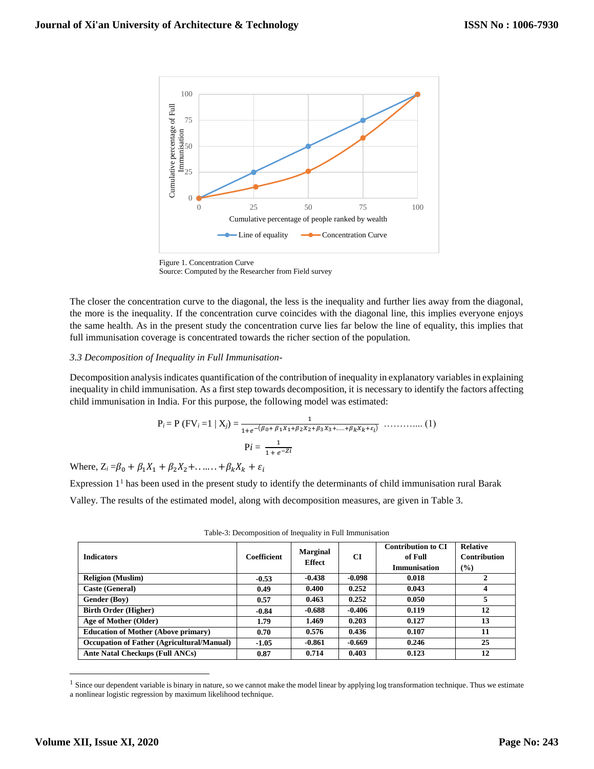

Figure 1. Concentration Curve

Source: Computed by the Researcher from Field survey

The closer the concentration curve to the diagonal, the less is the inequality and further lies away from the diagonal, the more is the inequality. If the concentration curve coincides with the diagonal line, this implies everyone enjoys the same health. As in the present study the concentration curve lies far below the line of equality, this implies that full immunisation coverage is concentrated towards the richer section of the population.

### *3.3 Decomposition of Inequality in Full Immunisation-*

Decomposition analysis indicates quantification of the contribution of inequality in explanatory variables in explaining inequality in child immunisation. As a first step towards decomposition, it is necessary to identify the factors affecting child immunisation in India. For this purpose, the following model was estimated:

P*i* = P (FV*<sup>i</sup>* =1 | X*j*) = <sup>1</sup> 1+ −(0+ 11+22+33+...…++ ) ……….... (1) P*i* = 1 1 + −

Where,  $Z_i = \beta_0 + \beta_1 X_1 + \beta_2 X_2 + \ldots + \beta_k X_k + \varepsilon_i$ 

Expression 1<sup>1</sup> has been used in the present study to identify the determinants of child immunisation rural Barak

Valley. The results of the estimated model, along with decomposition measures, are given in Table 3.

| <b>Indicators</b>                                 | <b>Coefficient</b> | <b>Marginal</b><br><b>Effect</b> | CI       | <b>Contribution to CI</b><br>of Full<br><b>Immunisation</b> | <b>Relative</b><br><b>Contribution</b><br>(%) |
|---------------------------------------------------|--------------------|----------------------------------|----------|-------------------------------------------------------------|-----------------------------------------------|
| <b>Religion</b> (Muslim)                          | $-0.53$            | $-0.438$                         | $-0.098$ | 0.018                                                       | $\mathbf{2}$                                  |
| Caste (General)                                   | 0.49               | 0.400                            | 0.252    | 0.043                                                       | 4                                             |
| <b>Gender (Boy)</b>                               | 0.57               | 0.463                            | 0.252    | 0.050                                                       | 5                                             |
| <b>Birth Order (Higher)</b>                       | $-0.84$            | $-0.688$                         | $-0.406$ | 0.119                                                       | 12                                            |
| Age of Mother (Older)                             | 1.79               | 1.469                            | 0.203    | 0.127                                                       | 13                                            |
| <b>Education of Mother (Above primary)</b>        | 0.70               | 0.576                            | 0.436    | 0.107                                                       | 11                                            |
| <b>Occupation of Father (Agricultural/Manual)</b> | $-1.05$            | -0.861                           | $-0.669$ | 0.246                                                       | 25                                            |
| Ante Natal Checkups (Full ANCs)                   | 0.87               | 0.714                            | 0.403    | 0.123                                                       | 12                                            |

Table-3: Decomposition of Inequality in Full Immunisation

 $\overline{a}$ 

<sup>&</sup>lt;sup>1</sup> Since our dependent variable is binary in nature, so we cannot make the model linear by applying log transformation technique. Thus we estimate a nonlinear logistic regression by maximum likelihood technique.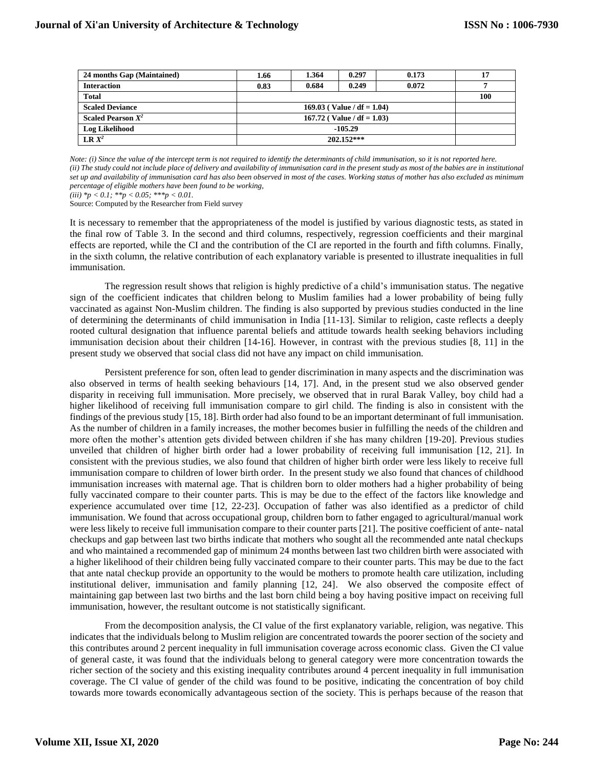| 24 months Gap (Maintained) | 1.66                       | 1.364 | 0.297 | 0.173 |     |
|----------------------------|----------------------------|-------|-------|-------|-----|
| <b>Interaction</b>         | 0.83                       | 0.684 | 0.249 | 0.072 |     |
| <b>Total</b>               |                            |       |       |       | 100 |
| <b>Scaled Deviance</b>     | 169.03 (Value / df = 1.04) |       |       |       |     |
| Scaled Pearson $X^2$       | 167.72 (Value / df = 1.03) |       |       |       |     |
| <b>Log Likelihood</b>      | $-105.29$                  |       |       |       |     |
| $\mathbf{LR} \, X^2$       | $202.152***$               |       |       |       |     |

*Note: (i) Since the value of the intercept term is not required to identify the determinants of child immunisation, so it is not reported here.* (ii) The study could not include place of delivery and availability of immunisation card in the present study as most of the babies are in institutional *set up and availability of immunisation card has also been observed in most of the cases. Working status of mother has also excluded as minimum percentage of eligible mothers have been found to be working,* 

*(iii) \*p < 0.1; \*\*p < 0.05; \*\*\*p < 0.01.*

Source: Computed by the Researcher from Field survey

It is necessary to remember that the appropriateness of the model is justified by various diagnostic tests, as stated in the final row of Table 3. In the second and third columns, respectively, regression coefficients and their marginal effects are reported, while the CI and the contribution of the CI are reported in the fourth and fifth columns. Finally, in the sixth column, the relative contribution of each explanatory variable is presented to illustrate inequalities in full immunisation.

The regression result shows that religion is highly predictive of a child's immunisation status. The negative sign of the coefficient indicates that children belong to Muslim families had a lower probability of being fully vaccinated as against Non-Muslim children. The finding is also supported by previous studies conducted in the line of determining the determinants of child immunisation in India [11-13]. Similar to religion, caste reflects a deeply rooted cultural designation that influence parental beliefs and attitude towards health seeking behaviors including immunisation decision about their children [14-16]. However, in contrast with the previous studies [8, 11] in the present study we observed that social class did not have any impact on child immunisation.

Persistent preference for son, often lead to gender discrimination in many aspects and the discrimination was also observed in terms of health seeking behaviours [14, 17]. And, in the present stud we also observed gender disparity in receiving full immunisation. More precisely, we observed that in rural Barak Valley, boy child had a higher likelihood of receiving full immunisation compare to girl child. The finding is also in consistent with the findings of the previous study [15, 18]. Birth order had also found to be an important determinant of full immunisation. As the number of children in a family increases, the mother becomes busier in fulfilling the needs of the children and more often the mother's attention gets divided between children if she has many children [19-20]. Previous studies unveiled that children of higher birth order had a lower probability of receiving full immunisation [12, 21]. In consistent with the previous studies, we also found that children of higher birth order were less likely to receive full immunisation compare to children of lower birth order. In the present study we also found that chances of childhood immunisation increases with maternal age. That is children born to older mothers had a higher probability of being fully vaccinated compare to their counter parts. This is may be due to the effect of the factors like knowledge and experience accumulated over time [12, 22-23]. Occupation of father was also identified as a predictor of child immunisation. We found that across occupational group, children born to father engaged to agricultural/manual work were less likely to receive full immunisation compare to their counter parts [21]. The positive coefficient of ante- natal checkups and gap between last two births indicate that mothers who sought all the recommended ante natal checkups and who maintained a recommended gap of minimum 24 months between last two children birth were associated with a higher likelihood of their children being fully vaccinated compare to their counter parts. This may be due to the fact that ante natal checkup provide an opportunity to the would be mothers to promote health care utilization, including institutional deliver, immunisation and family planning [12, 24]. We also observed the composite effect of maintaining gap between last two births and the last born child being a boy having positive impact on receiving full immunisation, however, the resultant outcome is not statistically significant.

From the decomposition analysis, the CI value of the first explanatory variable, religion, was negative. This indicates that the individuals belong to Muslim religion are concentrated towards the poorer section of the society and this contributes around 2 percent inequality in full immunisation coverage across economic class. Given the CI value of general caste, it was found that the individuals belong to general category were more concentration towards the richer section of the society and this existing inequality contributes around 4 percent inequality in full immunisation coverage. The CI value of gender of the child was found to be positive, indicating the concentration of boy child towards more towards economically advantageous section of the society. This is perhaps because of the reason that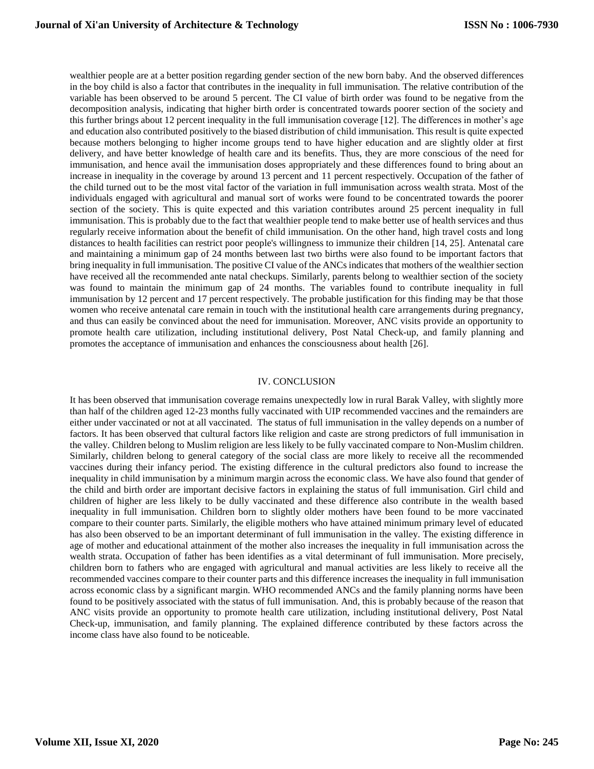wealthier people are at a better position regarding gender section of the new born baby. And the observed differences in the boy child is also a factor that contributes in the inequality in full immunisation. The relative contribution of the variable has been observed to be around 5 percent. The CI value of birth order was found to be negative from the decomposition analysis, indicating that higher birth order is concentrated towards poorer section of the society and this further brings about 12 percent inequality in the full immunisation coverage [12]. The differences in mother's age and education also contributed positively to the biased distribution of child immunisation. This result is quite expected because mothers belonging to higher income groups tend to have higher education and are slightly older at first delivery, and have better knowledge of health care and its benefits. Thus, they are more conscious of the need for immunisation, and hence avail the immunisation doses appropriately and these differences found to bring about an increase in inequality in the coverage by around 13 percent and 11 percent respectively. Occupation of the father of the child turned out to be the most vital factor of the variation in full immunisation across wealth strata. Most of the individuals engaged with agricultural and manual sort of works were found to be concentrated towards the poorer section of the society. This is quite expected and this variation contributes around 25 percent inequality in full immunisation. This is probably due to the fact that wealthier people tend to make better use of health services and thus regularly receive information about the benefit of child immunisation. On the other hand, high travel costs and long distances to health facilities can restrict poor people's willingness to immunize their children [14, 25]. Antenatal care and maintaining a minimum gap of 24 months between last two births were also found to be important factors that bring inequality in full immunisation. The positive CI value of the ANCs indicates that mothers of the wealthier section have received all the recommended ante natal checkups. Similarly, parents belong to wealthier section of the society was found to maintain the minimum gap of 24 months. The variables found to contribute inequality in full immunisation by 12 percent and 17 percent respectively. The probable justification for this finding may be that those women who receive antenatal care remain in touch with the institutional health care arrangements during pregnancy, and thus can easily be convinced about the need for immunisation. Moreover, ANC visits provide an opportunity to promote health care utilization, including institutional delivery, Post Natal Check-up, and family planning and promotes the acceptance of immunisation and enhances the consciousness about health [26].

## IV. CONCLUSION

It has been observed that immunisation coverage remains unexpectedly low in rural Barak Valley, with slightly more than half of the children aged 12-23 months fully vaccinated with UIP recommended vaccines and the remainders are either under vaccinated or not at all vaccinated. The status of full immunisation in the valley depends on a number of factors. It has been observed that cultural factors like religion and caste are strong predictors of full immunisation in the valley. Children belong to Muslim religion are less likely to be fully vaccinated compare to Non-Muslim children. Similarly, children belong to general category of the social class are more likely to receive all the recommended vaccines during their infancy period. The existing difference in the cultural predictors also found to increase the inequality in child immunisation by a minimum margin across the economic class. We have also found that gender of the child and birth order are important decisive factors in explaining the status of full immunisation. Girl child and children of higher are less likely to be dully vaccinated and these difference also contribute in the wealth based inequality in full immunisation. Children born to slightly older mothers have been found to be more vaccinated compare to their counter parts. Similarly, the eligible mothers who have attained minimum primary level of educated has also been observed to be an important determinant of full immunisation in the valley. The existing difference in age of mother and educational attainment of the mother also increases the inequality in full immunisation across the wealth strata. Occupation of father has been identifies as a vital determinant of full immunisation. More precisely, children born to fathers who are engaged with agricultural and manual activities are less likely to receive all the recommended vaccines compare to their counter parts and this difference increases the inequality in full immunisation across economic class by a significant margin. WHO recommended ANCs and the family planning norms have been found to be positively associated with the status of full immunisation. And, this is probably because of the reason that ANC visits provide an opportunity to promote health care utilization, including institutional delivery, Post Natal Check-up, immunisation, and family planning. The explained difference contributed by these factors across the income class have also found to be noticeable.